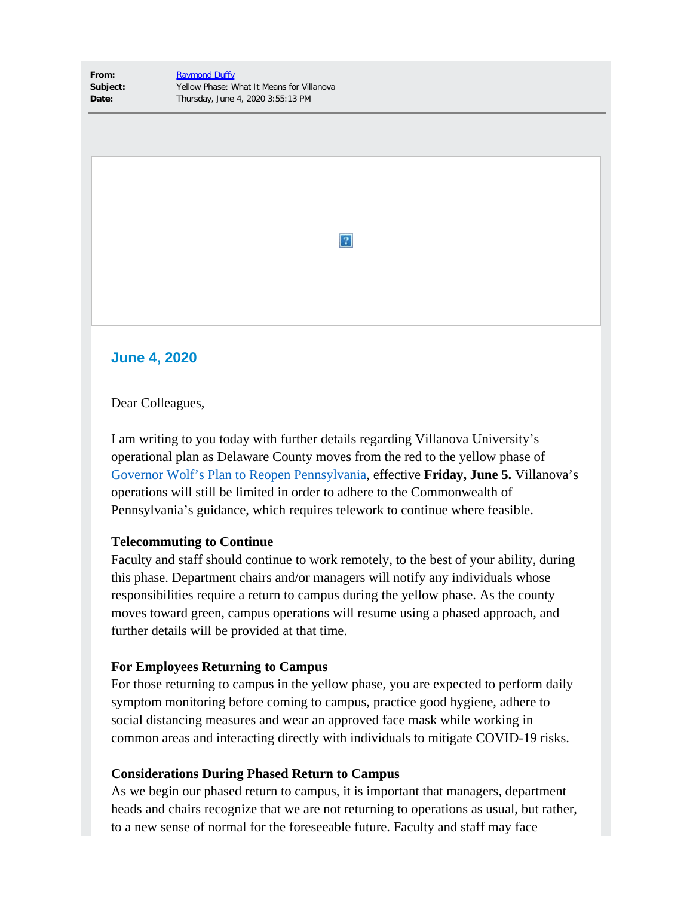**From:** [Raymond Duffy](mailto:raymond.duffy@villanova.edu) **Subject:** Yellow Phase: What It Means for Villanova **Date:** Thursday, June 4, 2020 3:55:13 PM

 $|2|$ 

# **June 4, 2020**

Dear Colleagues,

I am writing to you today with further details regarding Villanova University's operational plan as Delaware County moves from the red to the yellow phase of [Governor Wolf's Plan to Reopen Pennsylvania](https://nam04.safelinks.protection.outlook.com/?url=https%3A%2F%2Fwww.governor.pa.gov%2Fprocess-to-reopen-pennsylvania%2F&data=02%7C01%7Ctimothy.bair%40villanova.edu%7C2b27def4b1c0497074f308d808c123f1%7C765a8de5cf9444f09cafae5bf8cfa366%7C0%7C0%7C637268973121252146&sdata=gSMJ1WA4ZKlqTn3z7hA%2BbU2Nqou59ZkbDmBDx15%2B8%2BY%3D&reserved=0), effective **Friday, June 5.** Villanova's operations will still be limited in order to adhere to the Commonwealth of Pennsylvania's guidance, which requires telework to continue where feasible.

## **Telecommuting to Continue**

Faculty and staff should continue to work remotely, to the best of your ability, during this phase. Department chairs and/or managers will notify any individuals whose responsibilities require a return to campus during the yellow phase. As the county moves toward green, campus operations will resume using a phased approach, and further details will be provided at that time.

## **For Employees Returning to Campus**

For those returning to campus in the yellow phase, you are expected to perform daily symptom monitoring before coming to campus, practice good hygiene, adhere to social distancing measures and wear an approved face mask while working in common areas and interacting directly with individuals to mitigate COVID-19 risks.

## **Considerations During Phased Return to Campus**

As we begin our phased return to campus, it is important that managers, department heads and chairs recognize that we are not returning to operations as usual, but rather, to a new sense of normal for the foreseeable future. Faculty and staff may face